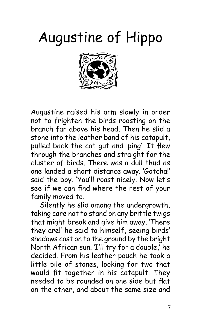## Augustine of Hippo



Augustine raised his arm slowly in order not to frighten the birds roosting on the branch far above his head. Then he slid a stone into the leather band of his catapult, pulled back the cat gut and 'ping'. It flew through the branches and straight for the cluster of birds. There was a dull thud as one landed a short distance away. 'Gotcha!' said the boy. 'You'll roast nicely. Now let's see if we can find where the rest of your family moved to.'

Silently he slid among the undergrowth, taking care not to stand on any brittle twigs that might break and give him away. 'There they are!' he said to himself, seeing birds' shadows cast on to the ground by the bright North African sun. 'I'll try for a double,' he decided. From his leather pouch he took a little pile of stones, looking for two that would fit together in his catapult. They needed to be rounded on one side but flat on the other, and about the same size and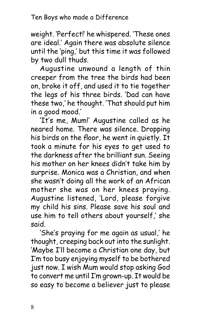weight. 'Perfect!' he whispered. 'These ones are ideal.' Again there was absolute silence until the 'ping,' but this time it was followed by two dull thuds.

Augustine unwound a length of thin creeper from the tree the birds had been on, broke it off, and used it to tie together the legs of his three birds. 'Dad can have these two,' he thought. 'That should put him in a good mood.'

'It's me, Mum!' Augustine called as he neared home. There was silence. Dropping his birds on the floor, he went in quietly. It took a minute for his eyes to get used to the darkness after the brilliant sun. Seeing his mother on her knees didn't take him by surprise. Monica was a Christian, and when she wasn't doing all the work of an African mother she was on her knees praying. Augustine listened, 'Lord, please forgive my child his sins. Please save his soul and use him to tell others about yourself,' she said.

'She's praying for me again as usual,' he thought, creeping back out into the sunlight. 'Maybe I'll become a Christian one day, but I'm too busy enjoying myself to be bothered just now. I wish Mum would stop asking God to convert me until I'm grown-up. It would be so easy to become a believer just to please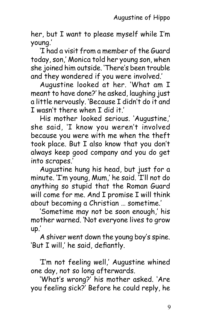her, but I want to please myself while I'm young.'

'I had a visit from a member of the Guard today, son,' Monica told her young son, when she joined him outside. 'There's been trouble and they wondered if you were involved.'

Augustine looked at her. 'What am I meant to have done?' he asked, laughing just a little nervously. 'Because I didn't do it and I wasn't there when I did it.'

His mother looked serious. 'Augustine,' she said, 'I know you weren't involved because you were with me when the theft took place. But I also know that you don't always keep good company and you do get into scrapes.'

Augustine hung his head, but just for a minute. 'I'm young, Mum,' he said. 'I'll not do anything so stupid that the Roman Guard will come for me. And I promise I will think about becoming a Christian … sometime.'

'Sometime may not be soon enough,' his mother warned. 'Not everyone lives to grow up.'

A shiver went down the young boy's spine. 'But I will,' he said, defiantly.

'I'm not feeling well,' Augustine whined one day, not so long afterwards.

'What's wrong?' his mother asked. 'Are you feeling sick?' Before he could reply, he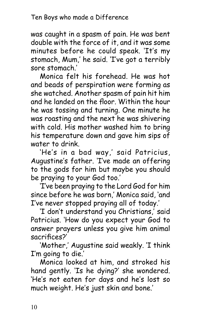was caught in a spasm of pain. He was bent double with the force of it, and it was some minutes before he could speak. 'It's my stomach, Mum,' he said. 'I've got a terribly sore stomach.'

Monica felt his forehead. He was hot and beads of perspiration were forming as she watched. Another spasm of pain hit him and he landed on the floor. Within the hour he was tossing and turning. One minute he was roasting and the next he was shivering with cold. His mother washed him to bring his temperature down and gave him sips of water to drink.

'He's in a bad way,' said Patricius, Augustine's father. 'I've made an offering to the gods for him but maybe you should be praying to your God too.'

'I've been praying to the Lord God for him since before he was born,' Monica said, 'and I've never stopped praying all of today.'

'I don't understand you Christians,' said Patricius. 'How do you expect your God to answer prayers unless you give him animal sacrifices?'

'Mother,' Augustine said weakly. 'I think I'm going to die.'

Monica looked at him, and stroked his hand gently. 'Is he dying?' she wondered. 'He's not eaten for days and he's lost so much weight. He's just skin and bone.'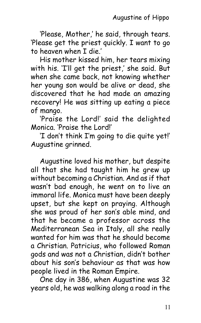'Please, Mother,' he said, through tears. 'Please get the priest quickly. I want to go to heaven when I die.'

His mother kissed him, her tears mixing with his. 'I'll get the priest,' she said. But when she came back, not knowing whether her young son would be alive or dead, she discovered that he had made an amazing recovery! He was sitting up eating a piece of mango.

'Praise the Lord!' said the delighted Monica. 'Praise the Lord!'

'I don't think I'm going to die quite yet!' Augustine grinned.

Augustine loved his mother, but despite all that she had taught him he grew up without becoming a Christian. And as if that wasn't bad enough, he went on to live an immoral life. Monica must have been deeply upset, but she kept on praying. Although she was proud of her son's able mind, and that he became a professor across the Mediterranean Sea in Italy, all she really wanted for him was that he should become a Christian. Patricius, who followed Roman gods and was not a Christian, didn't bother about his son's behaviour as that was how people lived in the Roman Empire.

One day in 386, when Augustine was 32 years old, he was walking along a road in the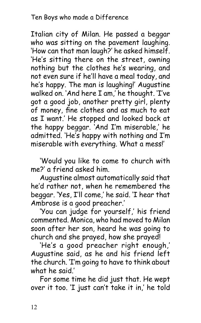## Ten Boys who made a Difference

Italian city of Milan. He passed a beggar who was sitting on the pavement laughing. 'How can that man laugh?' he asked himself. 'He's sitting there on the street, owning nothing but the clothes he's wearing, and not even sure if he'll have a meal today, and he's happy. The man is laughing!' Augustine walked on. 'And here I am,' he thought. 'I've got a good job, another pretty girl, plenty of money, fine clothes and as much to eat as I want.' He stopped and looked back at the happy beggar. 'And I'm miserable,' he admitted. 'He's happy with nothing and I'm miserable with everything. What a mess!'

'Would you like to come to church with me?' a friend asked him.

Augustine almost automatically said that he'd rather not, when he remembered the beggar. 'Yes, I'll come,' he said. 'I hear that Ambrose is a good preacher.'

'You can judge for yourself,' his friend commented. Monica, who had moved to Milan soon after her son, heard he was going to church and she prayed, how she prayed!

'He's a good preacher right enough,' Augustine said, as he and his friend left the church. 'I'm going to have to think about what he said.'

For some time he did just that. He wept over it too. 'I just can't take it in,' he told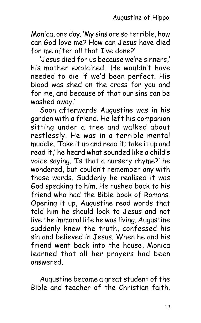Monica, one day. 'My sins are so terrible, how can God love me? How can Jesus have died for me after all that I've done?'

'Jesus died for us because we're sinners,' his mother explained. 'He wouldn't have needed to die if we'd been perfect. His blood was shed on the cross for you and for me, and because of that our sins can be washed away.'

Soon afterwards Augustine was in his garden with a friend. He left his companion sitting under a tree and walked about restlessly. He was in a terrible mental muddle. 'Take it up and read it; take it up and read it,' he heard what sounded like a child's voice saying. 'Is that a nursery rhyme?' he wondered, but couldn't remember any with those words. Suddenly he realised it was God speaking to him. He rushed back to his friend who had the Bible book of Romans. Opening it up, Augustine read words that told him he should look to Jesus and not live the immoral life he was living. Augustine suddenly knew the truth, confessed his sin and believed in Jesus. When he and his friend went back into the house, Monica learned that all her prayers had been answered.

Augustine became a great student of the Bible and teacher of the Christian faith.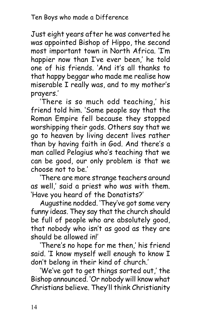Just eight years after he was converted he was appointed Bishop of Hippo, the second most important town in North Africa. 'I'm happier now than I've ever been,' he told one of his friends. 'And it's all thanks to that happy beggar who made me realise how miserable I really was, and to my mother's prayers.'

'There is so much odd teaching,' his friend told him. 'Some people say that the Roman Empire fell because they stopped worshipping their gods. Others say that we go to heaven by living decent lives rather than by having faith in God. And there's a man called Pelagius who's teaching that we can be good, our only problem is that we choose not to be.'

'There are more strange teachers around as well,' said a priest who was with them. 'Have you heard of the Donatists?'

Augustine nodded. 'They've got some very funny ideas. They say that the church should be full of people who are absolutely good, that nobody who isn't as good as they are should be allowed in!'

'There's no hope for me then,' his friend said. 'I know myself well enough to know I don't belong in their kind of church.'

'We've got to get things sorted out,' the Bishop announced. 'Or nobody will know what Christians believe. They'll think Christianity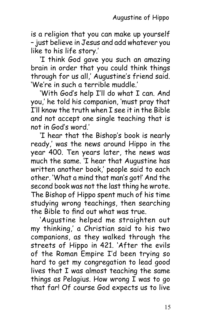is a religion that you can make up yourself – just believe in Jesus and add whatever you like to his life story.'

'I think God gave you such an amazing brain in order that you could think things through for us all,' Augustine's friend said. 'We're in such a terrible muddle.'

'With God's help I'll do what I can. And you,' he told his companion, 'must pray that I'll know the truth when I see it in the Bible and not accept one single teaching that is not in God's word.'

'I hear that the Bishop's book is nearly ready,' was the news around Hippo in the year 400. Ten years later, the news was much the same. 'I hear that Augustine has written another book,' people said to each other. 'What a mind that man's got!' And the second book was not the last thing he wrote. The Bishop of Hippo spent much of his time studying wrong teachings, then searching the Bible to find out what was true.

'Augustine helped me straighten out my thinking,' a Christian said to his two companions, as they walked through the streets of Hippo in 421. 'After the evils of the Roman Empire I'd been trying so hard to get my congregation to lead good lives that I was almost teaching the same things as Pelagius. How wrong  $\overline{I}$  was to go that far! Of course God expects us to live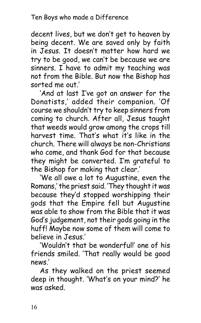decent lives, but we don't get to heaven by being decent. We are saved only by faith in Jesus. It doesn't matter how hard we try to be good, we can't be because we are sinners. I have to admit my teaching was not from the Bible. But now the Bishop has sorted me out.'

'And at last I've got an answer for the Donatists,' added their companion. 'Of course we shouldn't try to keep sinners from coming to church. After all, Jesus taught that weeds would grow among the crops till harvest time. That's what it's like in the church. There will always be non-Christians who come, and thank God for that because they might be converted. I'm grateful to the Bishop for making that clear.'

'We all owe a lot to Augustine, even the Romans,' the priest said. 'They thought it was because they'd stopped worshipping their gods that the Empire fell but Augustine was able to show from the Bible that it was God's judgement, not their gods going in the huff! Maybe now some of them will come to believe in Jesus.'

'Wouldn't that be wonderful!' one of his friends smiled. 'That really would be good news.'

As they walked on the priest seemed deep in thought. 'What's on your mind?' he was asked.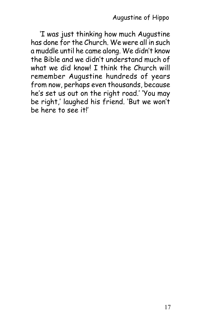'I was just thinking how much Augustine has done for the Church. We were all in such a muddle until he came along. We didn't know the Bible and we didn't understand much of what we did knowl T think the Church will remember Augustine hundreds of years from now, perhaps even thousands, because he's set us out on the right road.' 'You may be right,' laughed his friend. 'But we won't be here to see it!'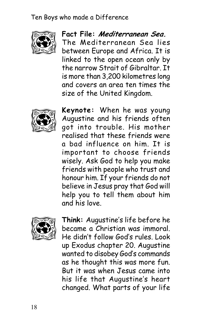Ten Boys who made a Difference



## **Fact File: Mediterranean Sea.**

The Mediterranean Sea lies between Europe and Africa. It is linked to the open ocean only by the narrow Strait of Gibraltar. It is more than 3,200 kilometres long and covers an area ten times the size of the United Kingdom.



**Keynote:** When he was young Augustine and his friends often got into trouble. His mother realised that these friends were a bad influence on him. It is important to choose friends wisely. Ask God to help you make friends with people who trust and honour him. If your friends do not believe in Jesus pray that God will help you to tell them about him and his love.



**Think:** Augustine's life before he became a Christian was immoral. He didn't follow God's rules. Look up Exodus chapter 20. Augustine wanted to disobey God's commands as he thought this was more fun. But it was when Jesus came into his life that Augustine's heart changed. What parts of your life